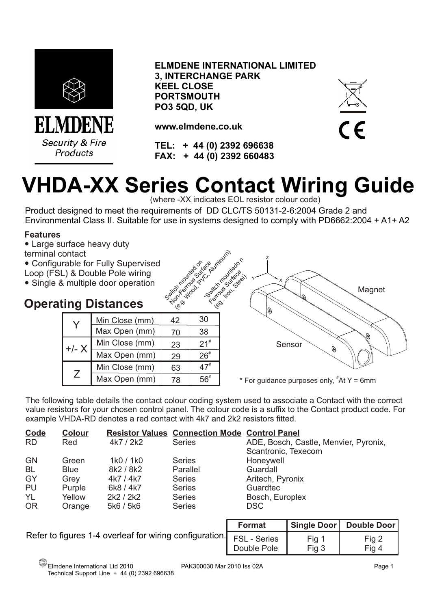



**ELMDENE INTERNATIONAL LIMITED 3, INTERCHANGE PARK KEEL CLOSE PORTSMOUTH PO3 5QD, UK**

**www.elmdene.co.uk**

**TEL: + 44 (0) 2392 696638 FAX: + 44 (0) 2392 660483**



#### **VHDA-XX Series Contact Wiring Guide**  (where -XX indicates EOL resistor colour code)

Product designed to meet the requirements of DD CLC/TS 50131-2-6:2004 Grade 2 and Environmental Class II. Suitable for use in systems designed to comply with PD6662:2004 + A1+ A2

Suite/Trioutles on

#### **Features**

- Large surface heavy duty terminal contact
- Configurable for Fully Supervised
- Loop (FSL) & Double Pole wiring
- Single & multiple door operation

## **Operating Distances**

| Y       | Min Close (mm) | 42 | 30                |
|---------|----------------|----|-------------------|
|         | Max Open (mm)  | 70 | 38                |
| $+/- X$ | Min Close (mm) | 23 | $21$ <sup>#</sup> |
|         | Max Open (mm)  | 29 | $26*$             |
| 7       | Min Close (mm) | 63 | 47"               |
|         | Max Open (mm)  | 78 | 56#               |



 $*$  For guidance purposes only,  $*$ At Y = 6mm

The following table details the contact colour coding system used to associate a Contact with the correct value resistors for your chosen control panel. The colour code is a suffix to the Contact product code. For example VHDA-RD denotes a red contact with 4k7 and 2k2 resistors fitted.

| Colour      |           |               |                                                      |
|-------------|-----------|---------------|------------------------------------------------------|
| Red         | 4k7 / 2k2 | <b>Series</b> | ADE, Bosch, Castle, Menvier, Pyronix,                |
|             |           |               | Scantronic, Texecom                                  |
| Green       | 1k0/1k0   | <b>Series</b> | Honeywell                                            |
| <b>Blue</b> | 8k2 / 8k2 | Parallel      | Guardall                                             |
| Grey        | 4k7 / 4k7 | Series        | Aritech, Pyronix                                     |
| Purple      | 6k8 / 4k7 | <b>Series</b> | Guardtec                                             |
| Yellow      | 2k2/2k2   | <b>Series</b> | Bosch, Europlex                                      |
| Orange      | 5k6 / 5k6 | Series        | DSC.                                                 |
|             |           |               |                                                      |
|             |           |               | <b>Resistor Values Connection Mode Control Panel</b> |

Refer to figures 1-4 overleaf for wiring configuration

|     | Format              |       | Single Door   Double Door |  |
|-----|---------------------|-------|---------------------------|--|
| n.l | <b>FSL - Series</b> | Fig 1 | Fig 2                     |  |
|     | Double Pole         | Fig 3 | Fia 4                     |  |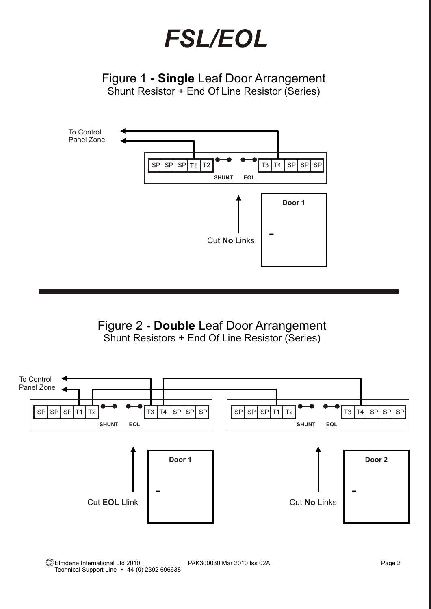# $FSL/EOL$

Figure 1 **- Single** Leaf Door Arrangement Shunt Resistor + End Of Line Resistor (Series)



Figure 2 **- Double** Leaf Door Arrangement Shunt Resistors + End Of Line Resistor (Series)



 Elmdene International Ltd 2010 PAK300030 Mar 2010 Iss 02A Page 2 Technical Support Line + 44 (0) 2392 696638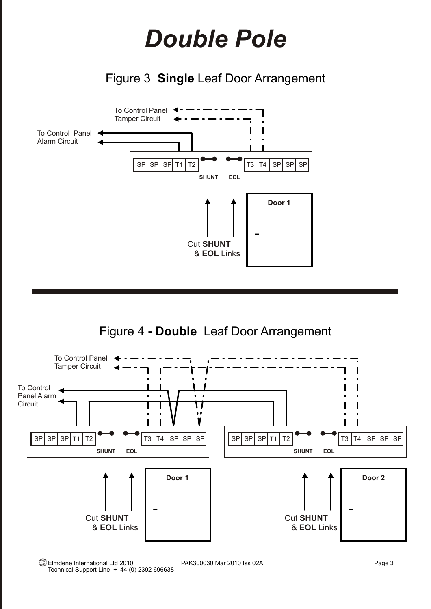# *Double Pole*





### Figure 4 **- Double** Leaf Door Arrangement



 Elmdene International Ltd 2010 PAK300030 Mar 2010 Iss 02A Page 3 Technical Support Line + 44 (0) 2392 696638